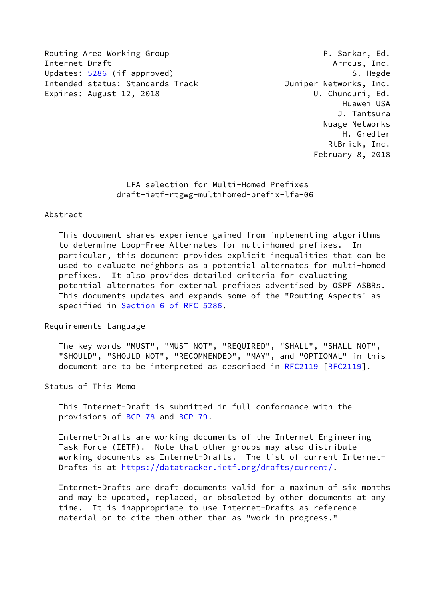Routing Area Working Group **P. Sarkar, Ed.** Internet-Draft Arrcus, Inc. Updates: [5286](https://datatracker.ietf.org/doc/pdf/rfc5286) (if approved) S. Hegde Intended status: Standards Track and Muniper Networks, Inc. Expires: August 12, 2018 U. Chunduri, Ed.

 Huawei USA J. Tantsura Nuage Networks H. Gredler RtBrick, Inc. February 8, 2018

 LFA selection for Multi-Homed Prefixes draft-ietf-rtgwg-multihomed-prefix-lfa-06

## Abstract

 This document shares experience gained from implementing algorithms to determine Loop-Free Alternates for multi-homed prefixes. In particular, this document provides explicit inequalities that can be used to evaluate neighbors as a potential alternates for multi-homed prefixes. It also provides detailed criteria for evaluating potential alternates for external prefixes advertised by OSPF ASBRs. This documents updates and expands some of the "Routing Aspects" as specified in Section [6 of RFC 5286](https://datatracker.ietf.org/doc/pdf/rfc5286#section-6).

Requirements Language

 The key words "MUST", "MUST NOT", "REQUIRED", "SHALL", "SHALL NOT", "SHOULD", "SHOULD NOT", "RECOMMENDED", "MAY", and "OPTIONAL" in this document are to be interpreted as described in [RFC2119](https://datatracker.ietf.org/doc/pdf/rfc2119) [\[RFC2119](https://datatracker.ietf.org/doc/pdf/rfc2119)].

Status of This Memo

 This Internet-Draft is submitted in full conformance with the provisions of <u>BCP 78</u> and **BCP 79.** 

 Internet-Drafts are working documents of the Internet Engineering Task Force (IETF). Note that other groups may also distribute working documents as Internet-Drafts. The list of current Internet- Drafts is at<https://datatracker.ietf.org/drafts/current/>.

 Internet-Drafts are draft documents valid for a maximum of six months and may be updated, replaced, or obsoleted by other documents at any time. It is inappropriate to use Internet-Drafts as reference material or to cite them other than as "work in progress."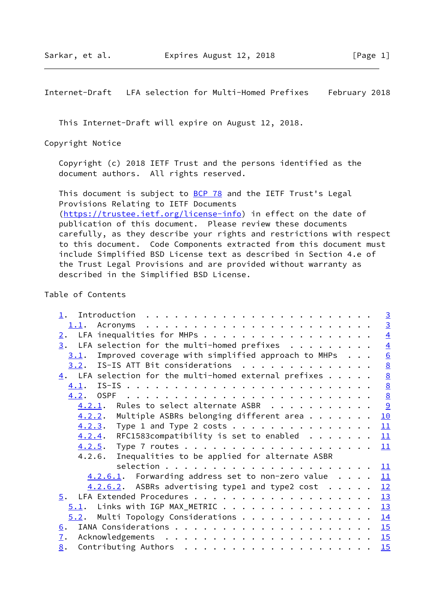This Internet-Draft will expire on August 12, 2018.

Copyright Notice

 Copyright (c) 2018 IETF Trust and the persons identified as the document authors. All rights reserved.

This document is subject to **[BCP 78](https://datatracker.ietf.org/doc/pdf/bcp78)** and the IETF Trust's Legal Provisions Relating to IETF Documents [\(https://trustee.ietf.org/license-info](https://trustee.ietf.org/license-info)) in effect on the date of publication of this document. Please review these documents carefully, as they describe your rights and restrictions with respect to this document. Code Components extracted from this document must include Simplified BSD License text as described in Section 4.e of the Trust Legal Provisions and are provided without warranty as described in the Simplified BSD License.

## Table of Contents

|                                                                          |  | $\overline{3}$  |
|--------------------------------------------------------------------------|--|-----------------|
| 1.1.                                                                     |  | $\overline{3}$  |
| LFA inequalities for MHPs<br>2.                                          |  | $\overline{4}$  |
| LFA selection for the multi-homed prefixes $\cdots$<br>3.                |  | $\overline{4}$  |
| Improved coverage with simplified approach to MHPs $\ldots$<br>3.1.      |  | $\underline{6}$ |
| $3.2$ . IS-IS ATT Bit considerations                                     |  | $\underline{8}$ |
| $\frac{4}{1}$ . LFA selection for the multi-homed external prefixes      |  | $\frac{8}{8}$   |
| 4.1.                                                                     |  |                 |
| 4.2.                                                                     |  | $\underline{8}$ |
| $4.2.1$ . Rules to select alternate ASBR                                 |  | <u>୍ର</u>       |
| $4.2.2.$ Multiple ASBRs belonging different area                         |  | 10              |
| $4.2.3$ . Type 1 and Type 2 costs                                        |  | 11              |
| $4.2.4$ . RFC1583compatibility is set to enabled                         |  | 11              |
|                                                                          |  | 11              |
| Inequalities to be applied for alternate ASBR<br>4.2.6.                  |  |                 |
|                                                                          |  | 11              |
| $4.2.6.1$ . Forwarding address set to non-zero value                     |  | 11              |
| $4.2.6.2$ . ASBRs advertising type1 and type2 cost $\cdot \cdot \cdot$ . |  | 12              |
|                                                                          |  | 13              |
| $5.1$ . Links with IGP MAX_METRIC 13                                     |  |                 |
| Multi Topology Considerations<br>5.2.                                    |  | 14              |
| 6.                                                                       |  |                 |
| $\mathbf{I}$ .                                                           |  |                 |
| 8.                                                                       |  | 15              |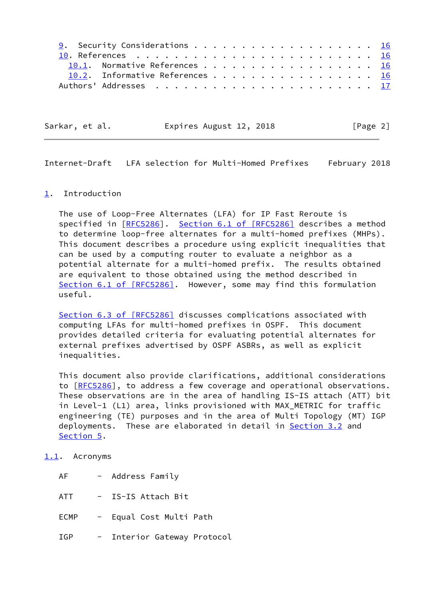| <u>9</u> . Security Considerations 16 |  |
|---------------------------------------|--|
|                                       |  |
| 10.1. Normative References 16         |  |
| 10.2. Informative References 16       |  |
|                                       |  |

<span id="page-2-1"></span>

| Sarkar, et al. | Expires August 12, 2018 | [Page 2] |
|----------------|-------------------------|----------|
|                |                         |          |

## <span id="page-2-0"></span>[1](#page-2-0). Introduction

 The use of Loop-Free Alternates (LFA) for IP Fast Reroute is specified in [\[RFC5286](https://datatracker.ietf.org/doc/pdf/rfc5286)]. Section [6.1 of \[RFC5286\]](https://datatracker.ietf.org/doc/pdf/rfc5286#section-6.1) describes a method to determine loop-free alternates for a multi-homed prefixes (MHPs). This document describes a procedure using explicit inequalities that can be used by a computing router to evaluate a neighbor as a potential alternate for a multi-homed prefix. The results obtained are equivalent to those obtained using the method described in Section [6.1 of \[RFC5286\]](https://datatracker.ietf.org/doc/pdf/rfc5286#section-6.1). However, some may find this formulation useful.

 Section [6.3 of \[RFC5286\]](https://datatracker.ietf.org/doc/pdf/rfc5286#section-6.3) discusses complications associated with computing LFAs for multi-homed prefixes in OSPF. This document provides detailed criteria for evaluating potential alternates for external prefixes advertised by OSPF ASBRs, as well as explicit inequalities.

 This document also provide clarifications, additional considerations to [[RFC5286\]](https://datatracker.ietf.org/doc/pdf/rfc5286), to address a few coverage and operational observations. These observations are in the area of handling IS-IS attach (ATT) bit in Level-1 (L1) area, links provisioned with MAX\_METRIC for traffic engineering (TE) purposes and in the area of Multi Topology (MT) IGP deployments. These are elaborated in detail in **Section 3.2** and [Section 5](#page-14-0).

## <span id="page-2-2"></span>[1.1](#page-2-2). Acronyms

| ΑF          | - Address Family          |  |
|-------------|---------------------------|--|
| ATT         | IS-IS Attach Bit          |  |
| <b>ECMP</b> | - Equal Cost Multi Path   |  |
| TGP         | Interior Gateway Protocol |  |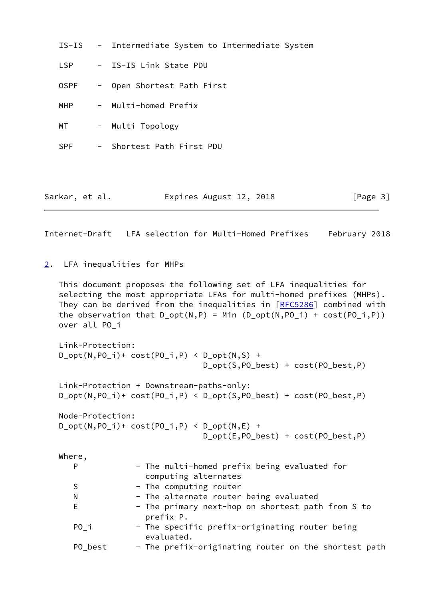|                |  | IS-IS - Intermediate System to Intermediate System |
|----------------|--|----------------------------------------------------|
| <b>LSP</b>     |  | - IS-IS Link State PDU                             |
| <b>OSPF</b>    |  | - Open Shortest Path First                         |
| MHP            |  | - Multi-homed Prefix                               |
| MT             |  | - Multi Topology                                   |
| <b>SPF</b>     |  | - Shortest Path First PDU                          |
|                |  |                                                    |
| Sarkar, et al. |  | Expires August 12, 2018<br>[Page $3$ ]             |

<span id="page-3-1"></span><span id="page-3-0"></span>[2](#page-3-0). LFA inequalities for MHPs

 This document proposes the following set of LFA inequalities for selecting the most appropriate LFAs for multi-homed prefixes (MHPs). They can be derived from the inequalities in [\[RFC5286](https://datatracker.ietf.org/doc/pdf/rfc5286)] combined with the observation that  $D_{opt}(N,P) = Min (D_{opt}(N,PO_i) + cost(PO_i,P))$ over all PO\_i

```
 Link-Protection:
D_{opt}(N, PO_{i})+ cost(PO_{i},P) < D_{opt}(N,S) +
                                 D_opt(S,PO_best) + cost(PO_best,P)
 Link-Protection + Downstream-paths-only:
 D_opt(N,PO_i)+ cost(PO_i,P) < D_opt(S,PO_best) + cost(PO_best,P)
 Node-Protection:
D_{opt}(N, PO_i) + cost(PO_i, P) < D_{opt}(N, E) +
                                 D_opt(E,PO_best) + cost(PO_best,P)
```

| Where,  |                                                                      |
|---------|----------------------------------------------------------------------|
| P       | - The multi-homed prefix being evaluated for<br>computing alternates |
| S       | - The computing router                                               |
| N       | - The alternate router being evaluated                               |
| E       | - The primary next-hop on shortest path from S to<br>prefix P.       |
| $PO_i$  | - The specific prefix-originating router being<br>evaluated.         |
| PO best | - The prefix-originating router on the shortest path                 |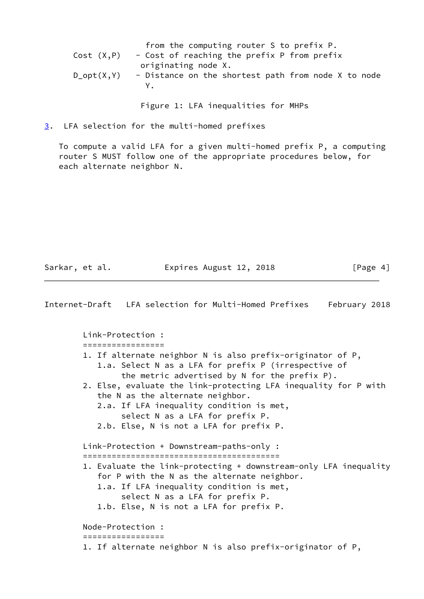|               | from the computing router S to prefix P.            |
|---------------|-----------------------------------------------------|
| Cost (X,P)    | - Cost of reaching the prefix P from prefix         |
|               | originating node X.                                 |
| $D\_opt(X,Y)$ | - Distance on the shortest path from node X to node |
|               | Y.                                                  |
|               |                                                     |

Figure 1: LFA inequalities for MHPs

<span id="page-4-0"></span>[3](#page-4-0). LFA selection for the multi-homed prefixes

 To compute a valid LFA for a given multi-homed prefix P, a computing router S MUST follow one of the appropriate procedures below, for each alternate neighbor N.

Sarkar, et al. **Expires August 12, 2018** [Page 4]

| Internet-Draft LFA selection for Multi-Homed Prefixes                                                                                                                                                  |                                                    | February 2018 |
|--------------------------------------------------------------------------------------------------------------------------------------------------------------------------------------------------------|----------------------------------------------------|---------------|
| Link-Protection:                                                                                                                                                                                       |                                                    |               |
| 1. If alternate neighbor N is also prefix-originator of P,<br>1.a. Select N as a LFA for prefix P (irrespective of<br>2. Else, evaluate the link-protecting LFA inequality for P with                  | the metric advertised by $N$ for the prefix $P$ ). |               |
| the N as the alternate neighbor.<br>2.a. If LFA inequality condition is met,<br>2.b. Else, N is not a LFA for prefix P.                                                                                | select N as a LFA for prefix P.                    |               |
| Link-Protection + Downstream-paths-only :                                                                                                                                                              |                                                    |               |
| 1. Evaluate the link-protecting + downstream-only LFA inequality<br>for P with the N as the alternate neighbor.<br>1.a. If LFA inequality condition is met,<br>1.b. Else, N is not a LFA for prefix P. | select N as a LFA for prefix P.                    |               |
| Node-Protection:                                                                                                                                                                                       |                                                    |               |
| 1. If alternate neighbor N is also prefix-originator of P,                                                                                                                                             |                                                    |               |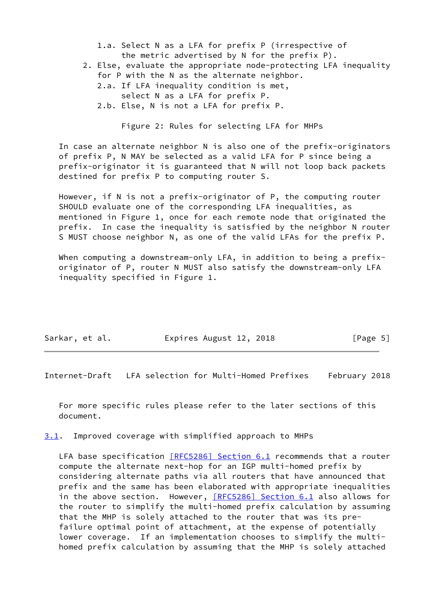- 1.a. Select N as a LFA for prefix P (irrespective of the metric advertised by N for the prefix P).
- 2. Else, evaluate the appropriate node-protecting LFA inequality for P with the N as the alternate neighbor.
	- 2.a. If LFA inequality condition is met, select N as a LFA for prefix P.
	- 2.b. Else, N is not a LFA for prefix P.

Figure 2: Rules for selecting LFA for MHPs

 In case an alternate neighbor N is also one of the prefix-originators of prefix P, N MAY be selected as a valid LFA for P since being a prefix-originator it is guaranteed that N will not loop back packets destined for prefix P to computing router S.

 However, if N is not a prefix-originator of P, the computing router SHOULD evaluate one of the corresponding LFA inequalities, as mentioned in Figure 1, once for each remote node that originated the prefix. In case the inequality is satisfied by the neighbor N router S MUST choose neighbor N, as one of the valid LFAs for the prefix P.

When computing a downstream-only LFA, in addition to being a prefix originator of P, router N MUST also satisfy the downstream-only LFA inequality specified in Figure 1.

| Sarkar, et al. | Expires August 12, 2018 | [Page 5] |
|----------------|-------------------------|----------|
|                |                         |          |

<span id="page-5-1"></span>Internet-Draft LFA selection for Multi-Homed Prefixes February 2018

 For more specific rules please refer to the later sections of this document.

<span id="page-5-0"></span>[3.1](#page-5-0). Improved coverage with simplified approach to MHPs

LFA base specification [\[RFC5286\] Section](https://datatracker.ietf.org/doc/pdf/rfc5286#section-6.1) 6.1 recommends that a router compute the alternate next-hop for an IGP multi-homed prefix by considering alternate paths via all routers that have announced that prefix and the same has been elaborated with appropriate inequalities in the above section. However, [\[RFC5286\] Section](https://datatracker.ietf.org/doc/pdf/rfc5286#section-6.1) 6.1 also allows for the router to simplify the multi-homed prefix calculation by assuming that the MHP is solely attached to the router that was its pre failure optimal point of attachment, at the expense of potentially lower coverage. If an implementation chooses to simplify the multi homed prefix calculation by assuming that the MHP is solely attached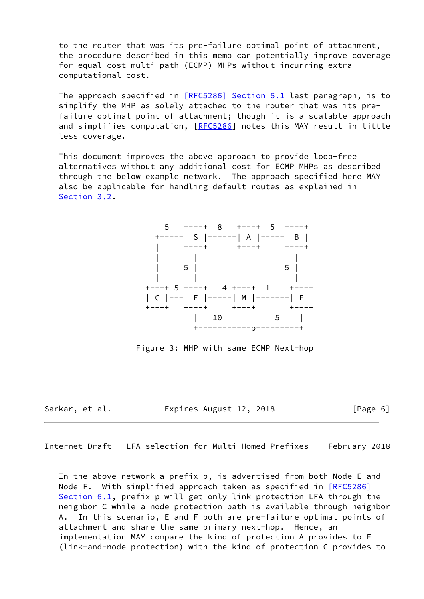to the router that was its pre-failure optimal point of attachment, the procedure described in this memo can potentially improve coverage for equal cost multi path (ECMP) MHPs without incurring extra computational cost.

The approach specified in [\[RFC5286\] Section](https://datatracker.ietf.org/doc/pdf/rfc5286#section-6.1) 6.1 last paragraph, is to simplify the MHP as solely attached to the router that was its pre failure optimal point of attachment; though it is a scalable approach and simplifies computation, [\[RFC5286](https://datatracker.ietf.org/doc/pdf/rfc5286)] notes this MAY result in little less coverage.

 This document improves the above approach to provide loop-free alternatives without any additional cost for ECMP MHPs as described through the below example network. The approach specified here MAY also be applicable for handling default routes as explained in [Section 3.2](#page-7-0).



Figure 3: MHP with same ECMP Next-hop

Sarkar, et al. Expires August 12, 2018 [Page 6]

Internet-Draft LFA selection for Multi-Homed Prefixes February 2018

 In the above network a prefix p, is advertised from both Node E and Node F. With simplified approach taken as specified in [\[RFC5286\]](https://datatracker.ietf.org/doc/pdf/rfc5286#section-6.1) Section 6.1, prefix p will get only link protection LFA through the neighbor C while a node protection path is available through neighbor A. In this scenario, E and F both are pre-failure optimal points of attachment and share the same primary next-hop. Hence, an implementation MAY compare the kind of protection A provides to F (link-and-node protection) with the kind of protection C provides to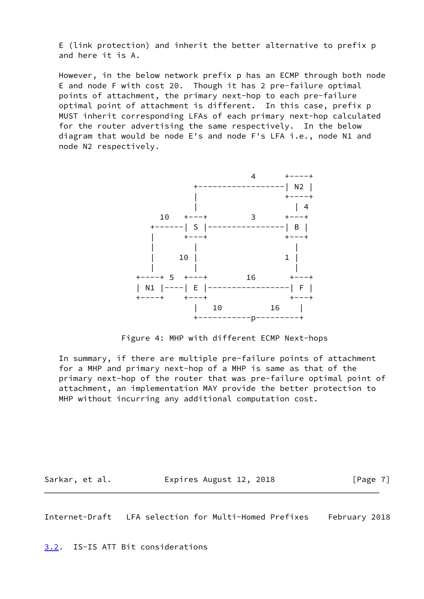E (link protection) and inherit the better alternative to prefix p and here it is A.

 However, in the below network prefix p has an ECMP through both node E and node F with cost 20. Though it has 2 pre-failure optimal points of attachment, the primary next-hop to each pre-failure optimal point of attachment is different. In this case, prefix p MUST inherit corresponding LFAs of each primary next-hop calculated for the router advertising the same respectively. In the below diagram that would be node E's and node F's LFA i.e., node N1 and node N2 respectively.



Figure 4: MHP with different ECMP Next-hops

 In summary, if there are multiple pre-failure points of attachment for a MHP and primary next-hop of a MHP is same as that of the primary next-hop of the router that was pre-failure optimal point of attachment, an implementation MAY provide the better protection to MHP without incurring any additional computation cost.

Sarkar, et al. **Expires August 12, 2018** [Page 7]

<span id="page-7-1"></span>Internet-Draft LFA selection for Multi-Homed Prefixes February 2018

<span id="page-7-0"></span>[3.2](#page-7-0). IS-IS ATT Bit considerations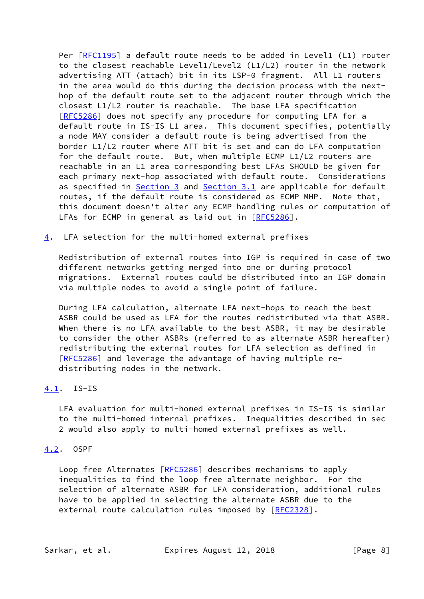Per [\[RFC1195](https://datatracker.ietf.org/doc/pdf/rfc1195)] a default route needs to be added in Level1 (L1) router to the closest reachable Level1/Level2 (L1/L2) router in the network advertising ATT (attach) bit in its LSP-0 fragment. All L1 routers in the area would do this during the decision process with the next hop of the default route set to the adjacent router through which the closest L1/L2 router is reachable. The base LFA specification [\[RFC5286](https://datatracker.ietf.org/doc/pdf/rfc5286)] does not specify any procedure for computing LFA for a default route in IS-IS L1 area. This document specifies, potentially a node MAY consider a default route is being advertised from the border L1/L2 router where ATT bit is set and can do LFA computation for the default route. But, when multiple ECMP L1/L2 routers are reachable in an L1 area corresponding best LFAs SHOULD be given for each primary next-hop associated with default route. Considerations as specified in [Section 3](#page-4-0) and [Section 3.1](#page-5-0) are applicable for default routes, if the default route is considered as ECMP MHP. Note that, this document doesn't alter any ECMP handling rules or computation of LFAs for ECMP in general as laid out in [\[RFC5286](https://datatracker.ietf.org/doc/pdf/rfc5286)].

<span id="page-8-0"></span>[4](#page-8-0). LFA selection for the multi-homed external prefixes

 Redistribution of external routes into IGP is required in case of two different networks getting merged into one or during protocol migrations. External routes could be distributed into an IGP domain via multiple nodes to avoid a single point of failure.

 During LFA calculation, alternate LFA next-hops to reach the best ASBR could be used as LFA for the routes redistributed via that ASBR. When there is no LFA available to the best ASBR, it may be desirable to consider the other ASBRs (referred to as alternate ASBR hereafter) redistributing the external routes for LFA selection as defined in [\[RFC5286](https://datatracker.ietf.org/doc/pdf/rfc5286)] and leverage the advantage of having multiple re distributing nodes in the network.

# <span id="page-8-1"></span>[4.1](#page-8-1). IS-IS

 LFA evaluation for multi-homed external prefixes in IS-IS is similar to the multi-homed internal prefixes. Inequalities described in sec 2 would also apply to multi-homed external prefixes as well.

## <span id="page-8-2"></span>[4.2](#page-8-2). OSPF

Loop free Alternates [\[RFC5286](https://datatracker.ietf.org/doc/pdf/rfc5286)] describes mechanisms to apply inequalities to find the loop free alternate neighbor. For the selection of alternate ASBR for LFA consideration, additional rules have to be applied in selecting the alternate ASBR due to the external route calculation rules imposed by [\[RFC2328](https://datatracker.ietf.org/doc/pdf/rfc2328)].

Sarkar, et al. Expires August 12, 2018 [Page 8]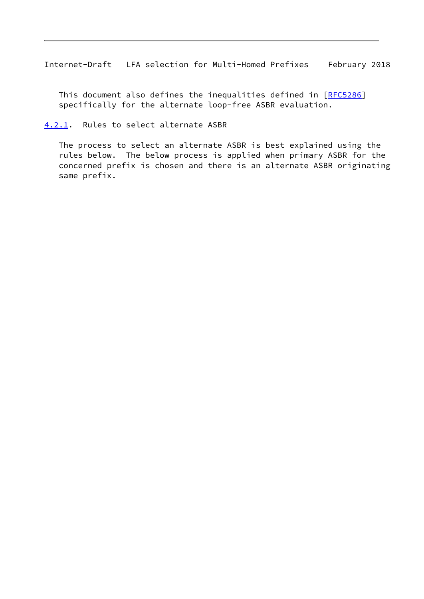<span id="page-9-1"></span>This document also defines the inequalities defined in [\[RFC5286](https://datatracker.ietf.org/doc/pdf/rfc5286)] specifically for the alternate loop-free ASBR evaluation.

<span id="page-9-0"></span>[4.2.1](#page-9-0). Rules to select alternate ASBR

 The process to select an alternate ASBR is best explained using the rules below. The below process is applied when primary ASBR for the concerned prefix is chosen and there is an alternate ASBR originating same prefix.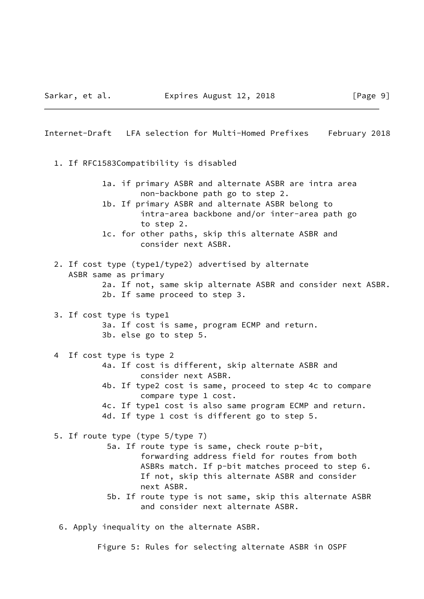<span id="page-10-0"></span>Internet-Draft LFA selection for Multi-Homed Prefixes February 2018 1. If RFC1583Compatibility is disabled 1a. if primary ASBR and alternate ASBR are intra area non-backbone path go to step 2. 1b. If primary ASBR and alternate ASBR belong to intra-area backbone and/or inter-area path go to step 2. 1c. for other paths, skip this alternate ASBR and consider next ASBR. 2. If cost type (type1/type2) advertised by alternate ASBR same as primary 2a. If not, same skip alternate ASBR and consider next ASBR. 2b. If same proceed to step 3. 3. If cost type is type1 3a. If cost is same, program ECMP and return. 3b. else go to step 5. 4 If cost type is type 2 4a. If cost is different, skip alternate ASBR and consider next ASBR. 4b. If type2 cost is same, proceed to step 4c to compare compare type 1 cost. 4c. If type1 cost is also same program ECMP and return. 4d. If type 1 cost is different go to step 5. 5. If route type (type 5/type 7) 5a. If route type is same, check route p-bit, forwarding address field for routes from both ASBRs match. If p-bit matches proceed to step 6. If not, skip this alternate ASBR and consider next ASBR. 5b. If route type is not same, skip this alternate ASBR and consider next alternate ASBR. 6. Apply inequality on the alternate ASBR.

Figure 5: Rules for selecting alternate ASBR in OSPF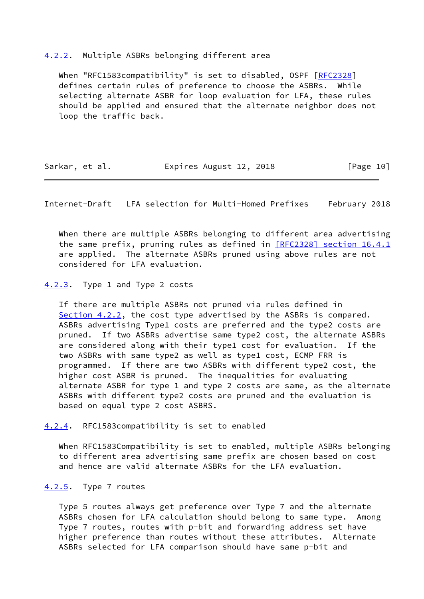#### <span id="page-11-0"></span>[4.2.2](#page-11-0). Multiple ASBRs belonging different area

When "RFC1583compatibility" is set to disabled, OSPF [\[RFC2328](https://datatracker.ietf.org/doc/pdf/rfc2328)] defines certain rules of preference to choose the ASBRs. While selecting alternate ASBR for loop evaluation for LFA, these rules should be applied and ensured that the alternate neighbor does not loop the traffic back.

| Sarkar, et al. | Expires August 12, 2018 | [Page 10] |
|----------------|-------------------------|-----------|
|----------------|-------------------------|-----------|

<span id="page-11-2"></span>Internet-Draft LFA selection for Multi-Homed Prefixes February 2018

 When there are multiple ASBRs belonging to different area advertising the same prefix, pruning rules as defined in [\[RFC2328\] section](https://datatracker.ietf.org/doc/pdf/rfc2328#section-16.4.1) 16.4.1 are applied. The alternate ASBRs pruned using above rules are not considered for LFA evaluation.

<span id="page-11-1"></span>[4.2.3](#page-11-1). Type 1 and Type 2 costs

 If there are multiple ASBRs not pruned via rules defined in [Section 4.2.2](#page-11-0), the cost type advertised by the ASBRs is compared. ASBRs advertising Type1 costs are preferred and the type2 costs are pruned. If two ASBRs advertise same type2 cost, the alternate ASBRs are considered along with their type1 cost for evaluation. If the two ASBRs with same type2 as well as type1 cost, ECMP FRR is programmed. If there are two ASBRs with different type2 cost, the higher cost ASBR is pruned. The inequalities for evaluating alternate ASBR for type 1 and type 2 costs are same, as the alternate ASBRs with different type2 costs are pruned and the evaluation is based on equal type 2 cost ASBRS.

<span id="page-11-3"></span>[4.2.4](#page-11-3). RFC1583compatibility is set to enabled

 When RFC1583Compatibility is set to enabled, multiple ASBRs belonging to different area advertising same prefix are chosen based on cost and hence are valid alternate ASBRs for the LFA evaluation.

#### <span id="page-11-4"></span>[4.2.5](#page-11-4). Type 7 routes

 Type 5 routes always get preference over Type 7 and the alternate ASBRs chosen for LFA calculation should belong to same type. Among Type 7 routes, routes with p-bit and forwarding address set have higher preference than routes without these attributes. Alternate ASBRs selected for LFA comparison should have same p-bit and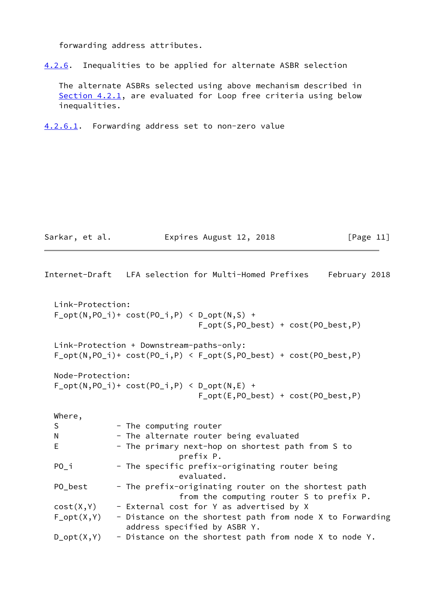forwarding address attributes.

<span id="page-12-2"></span>[4.2.6](#page-12-2). Inequalities to be applied for alternate ASBR selection

 The alternate ASBRs selected using above mechanism described in [Section 4.2.1](#page-9-0), are evaluated for Loop free criteria using below inequalities.

<span id="page-12-0"></span>[4.2.6.1](#page-12-0). Forwarding address set to non-zero value

Sarkar, et al. **Expires August 12, 2018** [Page 11]

<span id="page-12-1"></span>

|             |                  | Internet-Draft   LFA selection for Multi-Homed Prefixes<br>February 2018                                              |
|-------------|------------------|-----------------------------------------------------------------------------------------------------------------------|
|             | Link-Protection: | $F_{opt(N, PO_i)+cost(PO_i, P)$ < $D_{opt(N, S) +}$<br>$F_{opt}(S, PO_{best}) + cost(PO_{best}, P)$                   |
|             |                  | Link-Protection + Downstream-paths-only:<br>$F_{opt(N, PO_i)+cost(PO_i, P)$ < $F_{opt(S, PO_best) + cost(PO_best, P)$ |
|             | Node-Protection: | $F_{opt}(N, PO_i)$ + cost(PO_i,P) < D_opt(N,E) +<br>$F_{opt}(E, PO_{best}) + cost(PO_{best}, P)$                      |
|             | Where,           |                                                                                                                       |
| $\mathsf S$ |                  | - The computing router                                                                                                |
| N           |                  | - The alternate router being evaluated                                                                                |
| E           |                  | - The primary next-hop on shortest path from S to<br>prefix P.                                                        |
| $PO_i$      |                  | - The specific prefix-originating router being<br>evaluated.                                                          |
|             | PO_best          | - The prefix-originating router on the shortest path<br>from the computing router S to prefix P.                      |
|             | cost(X, Y)       | - External cost for Y as advertised by X                                                                              |
|             | $F\_opt(X, Y)$   | - Distance on the shortest path from node X to Forwarding<br>address specified by ASBR Y.                             |
|             | $D_{opt}(X, Y)$  | - Distance on the shortest path from node X to node Y.                                                                |
|             |                  |                                                                                                                       |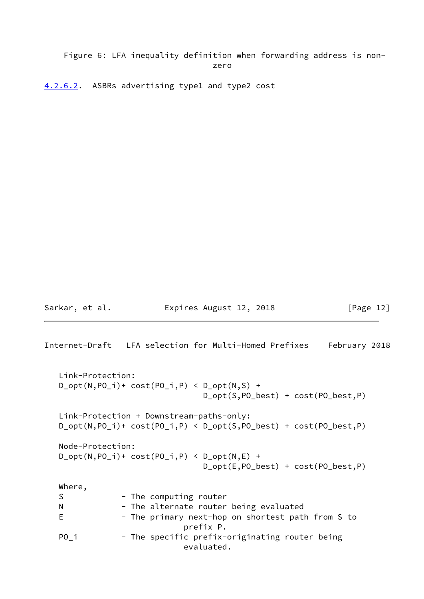# Figure 6: LFA inequality definition when forwarding address is non zero de la contrata de la contrata de la contrata de la contrata de la contrata de la contrata de la contrata d<br>En la contrata de la contrata de la contrata de la contrata de la contrata de la contrata de la contrata de la

<span id="page-13-0"></span>[4.2.6.2](#page-13-0). ASBRs advertising type1 and type2 cost

Sarkar, et al. **Expires August 12, 2018** [Page 12]

```
Internet-Draft LFA selection for Multi-Homed Prefixes February 2018
   Link-Protection:
  D_{opt}(N, PO_i)+ cost(PO_i, P() < D_{opt}(N, S) +
                                 D_opt(S,PO_best) + cost(PO_best,P)
   Link-Protection + Downstream-paths-only:
   D_opt(N,PO_i)+ cost(PO_i,P) < D_opt(S,PO_best) + cost(PO_best,P)
   Node-Protection:
  D_{opt}(N, PO_i) + cost(PO_i, P) < D_{opt}(N, E) +
                                 D_opt(E,PO_best) + cost(PO_best,P)
   Where,
  S - The computing router
  N - The alternate router being evaluated
  E - The primary next-hop on shortest path from S to
                             prefix P.
  PO<sub>_</sub>i - The specific prefix-originating router being
                             evaluated.
```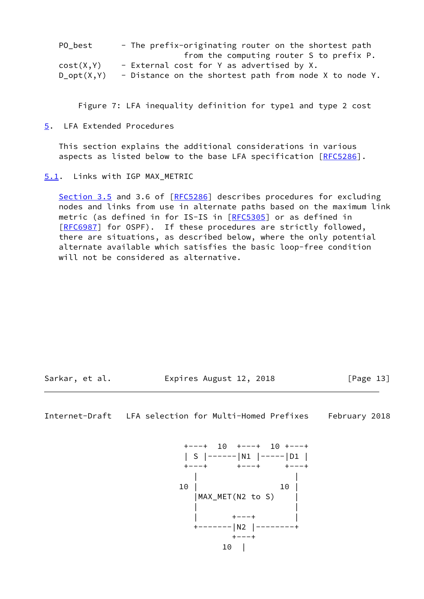| PO best         | - The prefix-originating router on the shortest path   |
|-----------------|--------------------------------------------------------|
|                 | from the computing router S to prefix P.               |
| cost(X, Y)      | - External cost for Y as advertised by X.              |
| $D_{opt}(X, Y)$ | - Distance on the shortest path from node X to node Y. |

Figure 7: LFA inequality definition for type1 and type 2 cost

<span id="page-14-0"></span>[5](#page-14-0). LFA Extended Procedures

 This section explains the additional considerations in various aspects as listed below to the base LFA specification [[RFC5286](https://datatracker.ietf.org/doc/pdf/rfc5286)].

<span id="page-14-1"></span>[5.1](#page-14-1). Links with IGP MAX\_METRIC

Section 3.5 and 3.6 of [\[RFC5286](https://datatracker.ietf.org/doc/pdf/rfc5286)] describes procedures for excluding nodes and links from use in alternate paths based on the maximum link metric (as defined in for IS-IS in [[RFC5305\]](https://datatracker.ietf.org/doc/pdf/rfc5305) or as defined in [\[RFC6987](https://datatracker.ietf.org/doc/pdf/rfc6987)] for OSPF). If these procedures are strictly followed, there are situations, as described below, where the only potential alternate available which satisfies the basic loop-free condition will not be considered as alternative.

Sarkar, et al. **Expires August 12, 2018** [Page 13]

<span id="page-14-2"></span>Internet-Draft LFA selection for Multi-Homed Prefixes February 2018

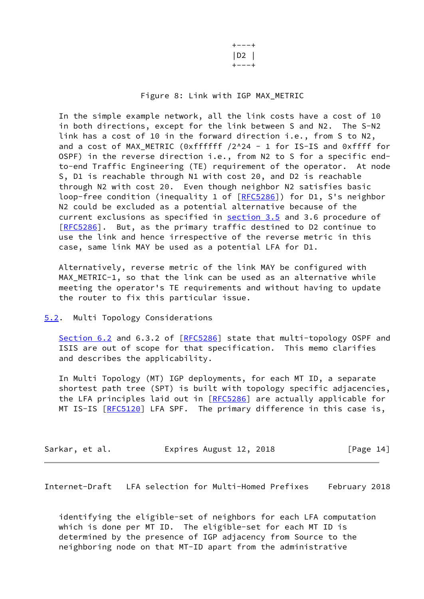+---+ |D2 | +---+

## Figure 8: Link with IGP MAX\_METRIC

 In the simple example network, all the link costs have a cost of 10 in both directions, except for the link between S and N2. The S-N2 link has a cost of 10 in the forward direction i.e., from S to N2, and a cost of MAX\_METRIC (0xffffff /2^24 - 1 for IS-IS and 0xffff for OSPF) in the reverse direction i.e., from N2 to S for a specific end to-end Traffic Engineering (TE) requirement of the operator. At node S, D1 is reachable through N1 with cost 20, and D2 is reachable through N2 with cost 20. Even though neighbor N2 satisfies basic loop-free condition (inequality 1 of [\[RFC5286](https://datatracker.ietf.org/doc/pdf/rfc5286)]) for D1, S's neighbor N2 could be excluded as a potential alternative because of the current exclusions as specified in section 3.5 and 3.6 procedure of [\[RFC5286](https://datatracker.ietf.org/doc/pdf/rfc5286)]. But, as the primary traffic destined to D2 continue to use the link and hence irrespective of the reverse metric in this case, same link MAY be used as a potential LFA for D1.

 Alternatively, reverse metric of the link MAY be configured with MAX\_METRIC-1, so that the link can be used as an alternative while meeting the operator's TE requirements and without having to update the router to fix this particular issue.

## <span id="page-15-0"></span>[5.2](#page-15-0). Multi Topology Considerations

Section 6.2 and 6.3.2 of [\[RFC5286](https://datatracker.ietf.org/doc/pdf/rfc5286)] state that multi-topology OSPF and ISIS are out of scope for that specification. This memo clarifies and describes the applicability.

 In Multi Topology (MT) IGP deployments, for each MT ID, a separate shortest path tree (SPT) is built with topology specific adjacencies, the LFA principles laid out in [\[RFC5286](https://datatracker.ietf.org/doc/pdf/rfc5286)] are actually applicable for MT IS-IS [\[RFC5120](https://datatracker.ietf.org/doc/pdf/rfc5120)] LFA SPF. The primary difference in this case is,

| Sarkar, et al. | Expires August 12, 2018 |  | [Page 14] |
|----------------|-------------------------|--|-----------|
|----------------|-------------------------|--|-----------|

<span id="page-15-1"></span>Internet-Draft LFA selection for Multi-Homed Prefixes February 2018

 identifying the eligible-set of neighbors for each LFA computation which is done per MT ID. The eligible-set for each MT ID is determined by the presence of IGP adjacency from Source to the neighboring node on that MT-ID apart from the administrative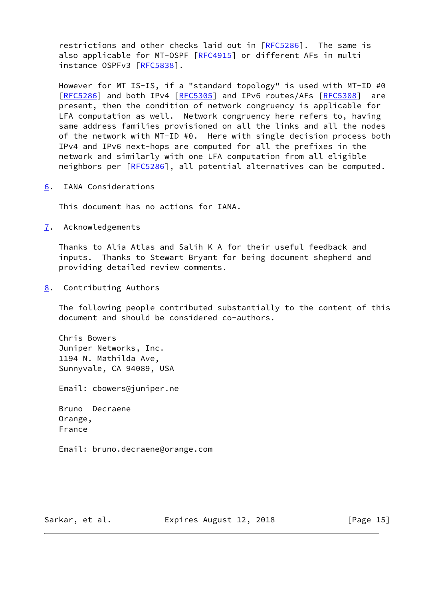restrictions and other checks laid out in [[RFC5286](https://datatracker.ietf.org/doc/pdf/rfc5286)]. The same is also applicable for MT-OSPF [\[RFC4915](https://datatracker.ietf.org/doc/pdf/rfc4915)] or different AFs in multi instance OSPFv3 [\[RFC5838](https://datatracker.ietf.org/doc/pdf/rfc5838)].

 However for MT IS-IS, if a "standard topology" is used with MT-ID #0 [\[RFC5286](https://datatracker.ietf.org/doc/pdf/rfc5286)] and both IPv4 [\[RFC5305](https://datatracker.ietf.org/doc/pdf/rfc5305)] and IPv6 routes/AFs [[RFC5308](https://datatracker.ietf.org/doc/pdf/rfc5308)] are present, then the condition of network congruency is applicable for LFA computation as well. Network congruency here refers to, having same address families provisioned on all the links and all the nodes of the network with MT-ID #0. Here with single decision process both IPv4 and IPv6 next-hops are computed for all the prefixes in the network and similarly with one LFA computation from all eligible neighbors per [[RFC5286](https://datatracker.ietf.org/doc/pdf/rfc5286)], all potential alternatives can be computed.

<span id="page-16-0"></span>[6](#page-16-0). IANA Considerations

This document has no actions for IANA.

<span id="page-16-1"></span>[7](#page-16-1). Acknowledgements

 Thanks to Alia Atlas and Salih K A for their useful feedback and inputs. Thanks to Stewart Bryant for being document shepherd and providing detailed review comments.

<span id="page-16-2"></span>[8](#page-16-2). Contributing Authors

 The following people contributed substantially to the content of this document and should be considered co-authors.

 Chris Bowers Juniper Networks, Inc. 1194 N. Mathilda Ave, Sunnyvale, CA 94089, USA

Email: cbowers@juniper.ne

 Bruno Decraene Orange, France

Email: bruno.decraene@orange.com

Sarkar, et al. **Expires August 12, 2018** [Page 15]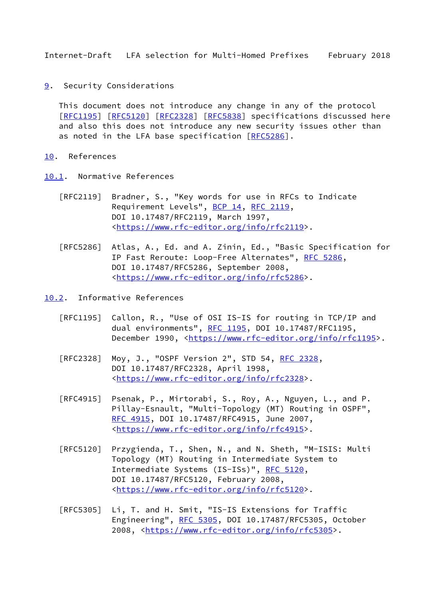<span id="page-17-1"></span><span id="page-17-0"></span>[9](#page-17-0). Security Considerations

 This document does not introduce any change in any of the protocol [\[RFC1195](https://datatracker.ietf.org/doc/pdf/rfc1195)] [[RFC5120](https://datatracker.ietf.org/doc/pdf/rfc5120)] [\[RFC2328](https://datatracker.ietf.org/doc/pdf/rfc2328)] [[RFC5838](https://datatracker.ietf.org/doc/pdf/rfc5838)] specifications discussed here and also this does not introduce any new security issues other than as noted in the LFA base specification [\[RFC5286](https://datatracker.ietf.org/doc/pdf/rfc5286)].

- <span id="page-17-2"></span>[10.](#page-17-2) References
- <span id="page-17-3"></span>[10.1](#page-17-3). Normative References
	- [RFC2119] Bradner, S., "Key words for use in RFCs to Indicate Requirement Levels", [BCP 14](https://datatracker.ietf.org/doc/pdf/bcp14), [RFC 2119](https://datatracker.ietf.org/doc/pdf/rfc2119), DOI 10.17487/RFC2119, March 1997, <[https://www.rfc-editor.org/info/rfc2119>](https://www.rfc-editor.org/info/rfc2119).
	- [RFC5286] Atlas, A., Ed. and A. Zinin, Ed., "Basic Specification for IP Fast Reroute: Loop-Free Alternates", [RFC 5286,](https://datatracker.ietf.org/doc/pdf/rfc5286) DOI 10.17487/RFC5286, September 2008, <[https://www.rfc-editor.org/info/rfc5286>](https://www.rfc-editor.org/info/rfc5286).

<span id="page-17-4"></span>[10.2](#page-17-4). Informative References

- [RFC1195] Callon, R., "Use of OSI IS-IS for routing in TCP/IP and dual environments", [RFC 1195,](https://datatracker.ietf.org/doc/pdf/rfc1195) DOI 10.17487/RFC1195, December 1990, <<https://www.rfc-editor.org/info/rfc1195>>.
- [RFC2328] Moy, J., "OSPF Version 2", STD 54, [RFC 2328](https://datatracker.ietf.org/doc/pdf/rfc2328), DOI 10.17487/RFC2328, April 1998, <[https://www.rfc-editor.org/info/rfc2328>](https://www.rfc-editor.org/info/rfc2328).
- [RFC4915] Psenak, P., Mirtorabi, S., Roy, A., Nguyen, L., and P. Pillay-Esnault, "Multi-Topology (MT) Routing in OSPF", [RFC 4915,](https://datatracker.ietf.org/doc/pdf/rfc4915) DOI 10.17487/RFC4915, June 2007, <[https://www.rfc-editor.org/info/rfc4915>](https://www.rfc-editor.org/info/rfc4915).
- [RFC5120] Przygienda, T., Shen, N., and N. Sheth, "M-ISIS: Multi Topology (MT) Routing in Intermediate System to Intermediate Systems (IS-ISs)", [RFC 5120,](https://datatracker.ietf.org/doc/pdf/rfc5120) DOI 10.17487/RFC5120, February 2008, <[https://www.rfc-editor.org/info/rfc5120>](https://www.rfc-editor.org/info/rfc5120).
- [RFC5305] Li, T. and H. Smit, "IS-IS Extensions for Traffic Engineering", [RFC 5305](https://datatracker.ietf.org/doc/pdf/rfc5305), DOI 10.17487/RFC5305, October 2008, [<https://www.rfc-editor.org/info/rfc5305](https://www.rfc-editor.org/info/rfc5305)>.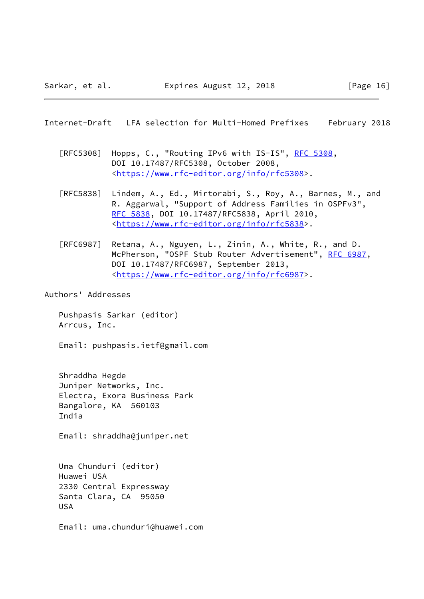- <span id="page-18-0"></span>[RFC5308] Hopps, C., "Routing IPv6 with IS-IS", [RFC 5308](https://datatracker.ietf.org/doc/pdf/rfc5308), DOI 10.17487/RFC5308, October 2008, <[https://www.rfc-editor.org/info/rfc5308>](https://www.rfc-editor.org/info/rfc5308).
- [RFC5838] Lindem, A., Ed., Mirtorabi, S., Roy, A., Barnes, M., and R. Aggarwal, "Support of Address Families in OSPFv3", [RFC 5838,](https://datatracker.ietf.org/doc/pdf/rfc5838) DOI 10.17487/RFC5838, April 2010, <[https://www.rfc-editor.org/info/rfc5838>](https://www.rfc-editor.org/info/rfc5838).
- [RFC6987] Retana, A., Nguyen, L., Zinin, A., White, R., and D. McPherson, "OSPF Stub Router Advertisement", [RFC 6987](https://datatracker.ietf.org/doc/pdf/rfc6987), DOI 10.17487/RFC6987, September 2013, <[https://www.rfc-editor.org/info/rfc6987>](https://www.rfc-editor.org/info/rfc6987).

Authors' Addresses

 Pushpasis Sarkar (editor) Arrcus, Inc.

Email: pushpasis.ietf@gmail.com

 Shraddha Hegde Juniper Networks, Inc. Electra, Exora Business Park Bangalore, KA 560103 India

Email: shraddha@juniper.net

 Uma Chunduri (editor) Huawei USA 2330 Central Expressway Santa Clara, CA 95050 USA

Email: uma.chunduri@huawei.com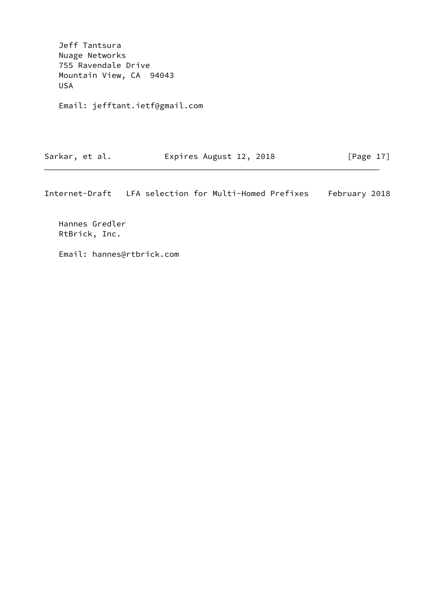Jeff Tantsura Nuage Networks 755 Ravendale Drive Mountain View, CA 94043 USA

Email: jefftant.ietf@gmail.com

Sarkar, et al. **Expires August 12, 2018** [Page 17]

Internet-Draft LFA selection for Multi-Homed Prefixes February 2018

 Hannes Gredler RtBrick, Inc.

Email: hannes@rtbrick.com